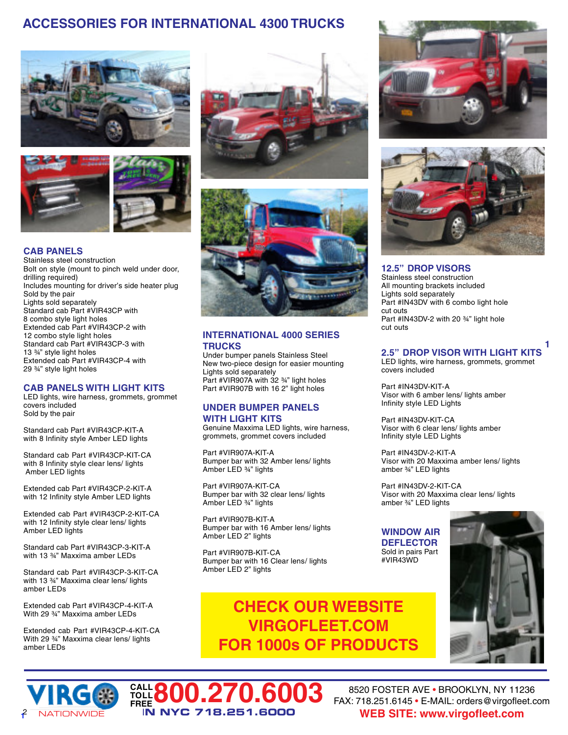# **ACCESSORIES FOR INTERNATIONAL 4300 TRUCKS**





### **CAB PANELS**

Stainless steel construction Bolt on style (mount to pinch weld under door, drilling required) Includes mounting for driver's side heater plug Sold by the pair Lights sold separately Standard cab Part #VIR43CP with 8 combo style light holes Extended cab Part #VIR43CP-2 with 12 combo style light holes Standard cab Part #VIR43CP-3 with 13 ¾" style light holes Extended cab Part #VIR43CP-4 with 29 ¾" style light holes

### **CAB PANELS WITH LIGHT KITS**

LED lights, wire harness, grommets, grommet covers included Sold by the pair

Standard cab Part #VIR43CP-KIT-A with 8 Infinity style Amber LED lights

Standard cab Part #VIR43CP-KIT-CA with 8 Infinity style clear lens/ lights Amber LED lights

Extended cab Part #VIR43CP-2-KIT-A with 12 Infinity style Amber LED lights

Extended cab Part #VIR43CP-2-KIT-CA with 12 Infinity style clear lens/ lights Amber LED lights

Standard cab Part #VIR43CP-3-KIT-A with 13 ¾" Maxxima amber LEDs

Standard cab Part #VIR43CP-3-KIT-CA with 13 ¾" Maxxima clear lens/ lights amber LEDs

Extended cab Part #VIR43CP-4-KIT-A With 29 ¾" Maxxima amber LEDs

Extended cab Part #VIR43CP-4-KIT-CA With 29 ¾" Maxxima clear lens/ lights amber LEDs

> **CALL TOLL**





### **INTERNATIONAL 4000 SERIES TRUCKS**

Under bumper panels Stainless Steel New two-piece design for easier mounting Lights sold separately Part #VIR907A with 32 ¾" light holes Part #VIR907B with 16 2" light holes

### **UNDER BUMPER PANELS WITH LIGHT KITS**

Genuine Maxxima LED lights, wire harness, grommets, grommet covers included

Part #VIR907A-KIT-A Bumper bar with 32 Amber lens/ lights Amber LED ¾" lights

Part #VIR907A-KIT-CA Bumper bar with 32 clear lens/ lights Amber LED ¾" lights

Part #VIR907B-KIT-A Bumper bar with 16 Amber lens/ lights Amber LED 2" lights

Part #VIR907B-KIT-CA Bumper bar with 16 Clear lens/ lights Amber LED 2" lights

**FREE800.270.6003**

I**N NYC 718.251.6000**

**CHECK OUR WEBSITE VIRGOFLEET.COM FOR 1000s OF PRODUCTS**





**12.5" DROP VISORS** Stainless steel construction All mounting brackets included Lights sold separately Part #IN43DV with 6 combo light hole cut outs Part #IN43DV-2 with 20 ¾" light hole cut outs

### **1 2.5" DROP VISOR WITH LIGHT KITS**

LED lights, wire harness, grommets, grommet covers included

Part #IN43DV-KIT-A Visor with 6 amber lens/ lights amber Infinity style LED Lights

Part #IN43DV-KIT-CA Visor with 6 clear lens/ lights amber Infinity style LED Lights

Part #IN43DV-2-KIT-A Visor with 20 Maxxima amber lens/ lights amber ¾" LED lights

Part #IN43DV-2-KIT-CA Visor with 20 Maxxima clear lens/ lights amber ¾" LED lights

### **WINDOW AIR DEFLECTOR** Sold in pairs Part #VIR43WD





8520 FOSTER AVE • BROOKLYN, NY 11236 FAX: 718.251.6145 • E-MAIL: orders@virgofleet.com <sup>2</sup> **WEB SITE: www.virgofleet.com**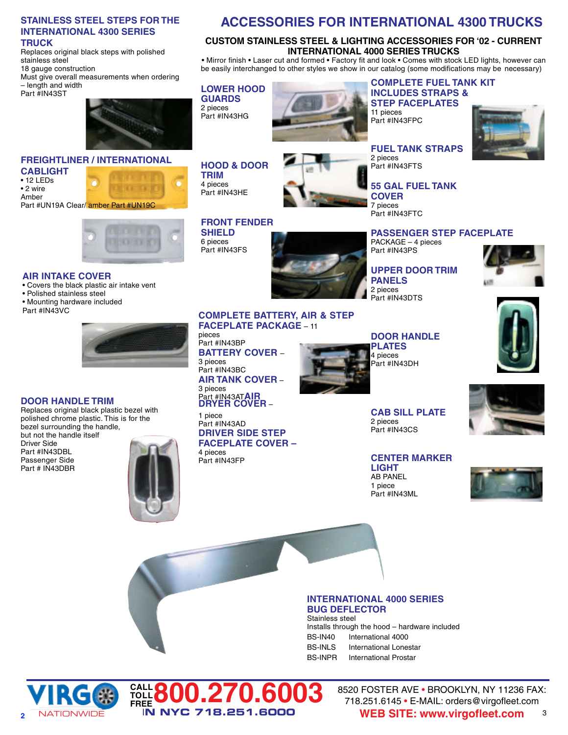### **STAINLESS STEEL STEPS FOR THE INTERNATIONAL 4300 SERIES TRUCK**

Replaces original black steps with polished stainless steel

18 gauge construction Must give overall measurements when ordering

– length and width Part #IN43ST



### **FREIGHTLINER / INTERNATIONAL**

**CABLIGHT** • 12 LEDs

• 2 wire Amber Part #UN19A Clear/ amber Part #UN19C



## **AIR INTAKE COVER**

- Covers the black plastic air intake vent
- Polished stainless steel
- Mounting hardware included
- Part #IN43VC

### **DOOR HANDLE TRIM**

Part # IN43DBR

Replaces original black plastic bezel with polished chrome plastic. This is for the bezel surrounding the handle, but not the handle itself Driver Side Part #IN43DBL Passenger Side



**CALL TOLL**

**FREE800.270.6003**

I**N NYC 718.251.6000**

# **ACCESSORIES FOR INTERNATIONAL 4300 TRUCKS**

### **CUSTOM STAINLESS STEEL & LIGHTING ACCESSORIES FOR '02 - CURRENT INTERNATIONAL 4000 SERIES TRUCKS**

• Mirror finish • Laser cut and formed • Factory fit and look • Comes with stock LED lights, however can be easily interchanged to other styles we show in our catalog (some modifications may be necessary)

## **LOWER HOOD**

**HOOD & DOOR**

**FRONT FENDER**

**COMPLETE BATTERY, AIR & STEP**

**FACEPLATE PACKAGE** – 11

**BATTERY COVER** –

**AIR TANK COVER** –

**DRIVER SIDE STEP FACEPLATE COVER –**

Part #IN43AT**AIR DRYER COVER** –

**TRIM** 4 pieces Part #IN43HE

**SHIELD** 6 pieces Part #IN43FS

pieces Part #IN43BP

3 pieces Part #IN43BC

3 pieces

1 piece Part #IN43AD

4 pieces Part #IN43FP

**GUARDS** 2 pieces Part #IN43HG



### **COMPLETE FUEL TANK KIT INCLUDES STRAPS & STEP FACEPLATES**

11 pieces Part #IN43FPC



**FUEL TANK STRAPS** 2 pieces Part #IN43FTS

**55 GAL FUEL TANK COVER** 7 pieces Part #IN43FTC

**PASSENGER STEP FACEPLATE** PACKAGE – 4 pieces Part #IN43PS

**UPPER DOOR TRIM PANELS** 2 pieces Part #IN43DTS







## **DOOR HANDLE PLATES**

4 pieces Part #IN43DH

**CAB SILL PLATE** 2 pieces Part #IN43CS

**CENTER MARKER LIGHT** AB PANEL 1 piece Part #IN43ML





Stainless steel Installs through the hood – hardware included BS-IN40 International 4000 BS-INLS International Lonestar BS-INPR International Prostar



8520 FOSTER AVE • BROOKLYN, NY 11236 FAX: 718.251.6145 • E-MAIL: orders@virgofleet.com **WEB SITE: www.virgofleet.com** 3